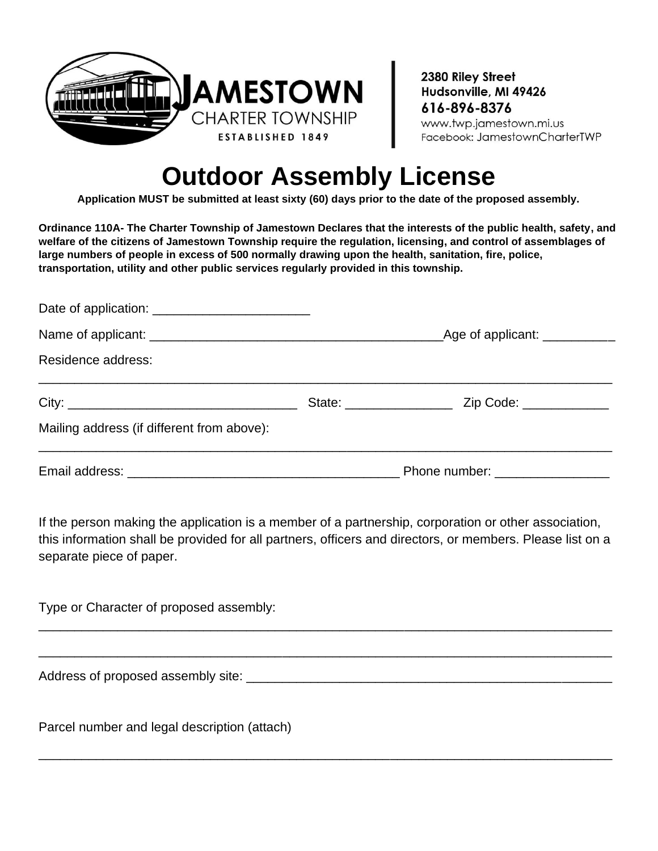

2380 Riley Street Hudsonville, MI 49426 616-896-8376 www.twp.jamestown.mi.us Facebook: JamestownCharterTWP

## **Outdoor Assembly License**

**Application MUST be submitted at least sixty (60) days prior to the date of the proposed assembly.**

**Ordinance 110A- The Charter Township of Jamestown Declares that the interests of the public health, safety, and welfare of the citizens of Jamestown Township require the regulation, licensing, and control of assemblages of large numbers of people in excess of 500 normally drawing upon the health, sanitation, fire, police, transportation, utility and other public services regularly provided in this township.**

|                                            | Phone number: _________________ |  |
|--------------------------------------------|---------------------------------|--|
| Mailing address (if different from above): |                                 |  |
|                                            |                                 |  |
| Residence address:                         |                                 |  |
|                                            |                                 |  |
|                                            |                                 |  |

If the person making the application is a member of a partnership, corporation or other association, this information shall be provided for all partners, officers and directors, or members. Please list on a separate piece of paper.

\_\_\_\_\_\_\_\_\_\_\_\_\_\_\_\_\_\_\_\_\_\_\_\_\_\_\_\_\_\_\_\_\_\_\_\_\_\_\_\_\_\_\_\_\_\_\_\_\_\_\_\_\_\_\_\_\_\_\_\_\_\_\_\_\_\_\_\_\_\_\_\_\_\_\_\_\_\_\_\_

\_\_\_\_\_\_\_\_\_\_\_\_\_\_\_\_\_\_\_\_\_\_\_\_\_\_\_\_\_\_\_\_\_\_\_\_\_\_\_\_\_\_\_\_\_\_\_\_\_\_\_\_\_\_\_\_\_\_\_\_\_\_\_\_\_\_\_\_\_\_\_\_\_\_\_\_\_\_\_\_

\_\_\_\_\_\_\_\_\_\_\_\_\_\_\_\_\_\_\_\_\_\_\_\_\_\_\_\_\_\_\_\_\_\_\_\_\_\_\_\_\_\_\_\_\_\_\_\_\_\_\_\_\_\_\_\_\_\_\_\_\_\_\_\_\_\_\_\_\_\_\_\_\_\_\_\_\_\_\_\_

Type or Character of proposed assembly:

Address of proposed assembly site: \_\_\_\_\_\_\_\_\_\_\_\_\_\_\_\_\_\_\_\_\_\_\_\_\_\_\_\_\_\_\_\_\_\_\_\_\_\_\_\_\_\_\_\_\_\_\_\_\_\_\_

Parcel number and legal description (attach)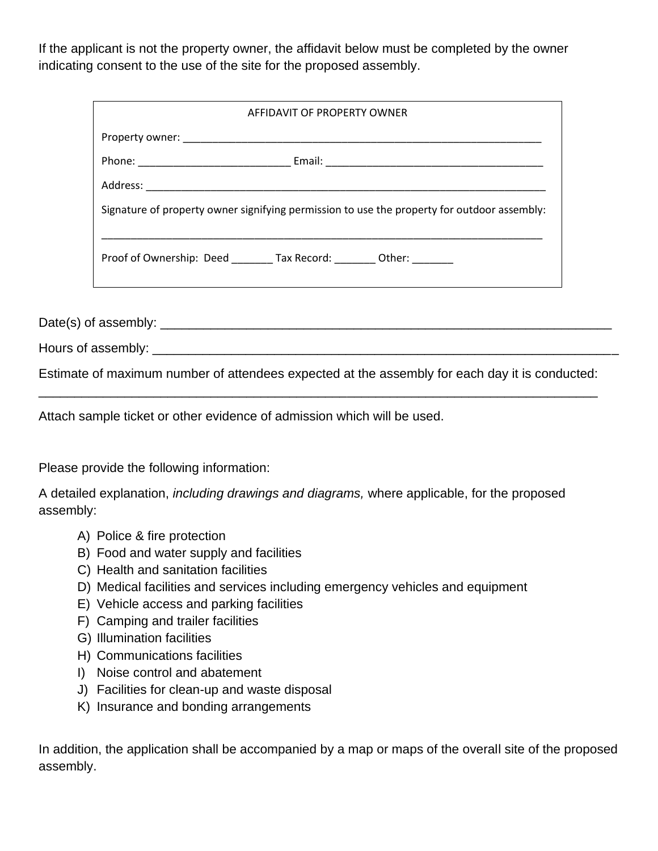If the applicant is not the property owner, the affidavit below must be completed by the owner indicating consent to the use of the site for the proposed assembly.

| AFFIDAVIT OF PROPERTY OWNER                                                                 |  |
|---------------------------------------------------------------------------------------------|--|
|                                                                                             |  |
|                                                                                             |  |
|                                                                                             |  |
| Signature of property owner signifying permission to use the property for outdoor assembly: |  |
| Proof of Ownership: Deed ________ Tax Record: ________ Other: _______                       |  |

Date(s) of assembly: \_\_\_\_\_\_\_\_\_\_\_\_\_\_\_\_\_\_\_\_\_\_\_\_\_\_\_\_\_\_\_\_\_\_\_\_\_\_\_\_\_\_\_\_\_\_\_\_\_\_\_\_\_\_\_\_\_\_\_\_\_\_\_

Hours of assembly:

Estimate of maximum number of attendees expected at the assembly for each day it is conducted: \_\_\_\_\_\_\_\_\_\_\_\_\_\_\_\_\_\_\_\_\_\_\_\_\_\_\_\_\_\_\_\_\_\_\_\_\_\_\_\_\_\_\_\_\_\_\_\_\_\_\_\_\_\_\_\_\_\_\_\_\_\_\_\_\_\_\_\_\_\_\_\_\_\_\_\_\_\_

Attach sample ticket or other evidence of admission which will be used.

Please provide the following information:

A detailed explanation, *including drawings and diagrams,* where applicable, for the proposed assembly:

- A) Police & fire protection
- B) Food and water supply and facilities
- C) Health and sanitation facilities
- D) Medical facilities and services including emergency vehicles and equipment
- E) Vehicle access and parking facilities
- F) Camping and trailer facilities
- G) Illumination facilities
- H) Communications facilities
- I) Noise control and abatement
- J) Facilities for clean-up and waste disposal
- K) Insurance and bonding arrangements

In addition, the application shall be accompanied by a map or maps of the overall site of the proposed assembly.